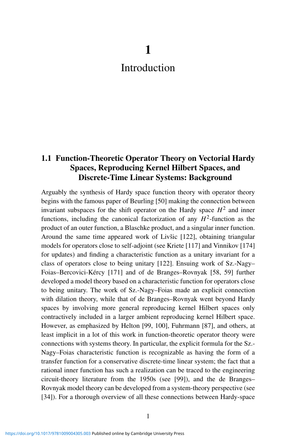# **1**

# Introduction

# **1.1 Function-Theoretic Operator Theory on Vectorial Hardy Spaces, Reproducing Kernel Hilbert Spaces, and Discrete-Time Linear Systems: Background**

Arguably the synthesis of Hardy space function theory with operator theory begins with the famous paper of Beurling [50] making the connection between invariant subspaces for the shift operator on the Hardy space  $H^2$  and inner functions, including the canonical factorization of any  $H^2$ -function as the product of an outer function, a Blaschke product, and a singular inner function. Around the same time appeared work of Livšic [122], obtaining triangular models for operators close to self-adjoint (see Kriete [117] and Vinnikov [174] for updates) and finding a characteristic function as a unitary invariant for a class of operators close to being unitary [122]. Ensuing work of Sz.-Nagy– Foias–Bercovici-Kércy [171] and of de Branges–Rovnyak [58, 59] further developed a model theory based on a characteristic function for operators close to being unitary. The work of Sz.-Nagy–Foias made an explicit connection with dilation theory, while that of de Branges–Rovnyak went beyond Hardy spaces by involving more general reproducing kernel Hilbert spaces only contractively included in a larger ambient reproducing kernel Hilbert space. However, as emphasized by Helton [99, 100], Fuhrmann [87], and others, at least implicit in a lot of this work in function-theoretic operator theory were connections with systems theory. In particular, the explicit formula for the Sz.- Nagy–Foias characteristic function is recognizable as having the form of a transfer function for a conservative discrete-time linear system; the fact that a rational inner function has such a realization can be traced to the engineering circuit-theory literature from the 1950s (see [99]), and the de Branges– Rovnyak model theory can be developed from a system-theory perspective (see [34]). For a thorough overview of all these connections between Hardy-space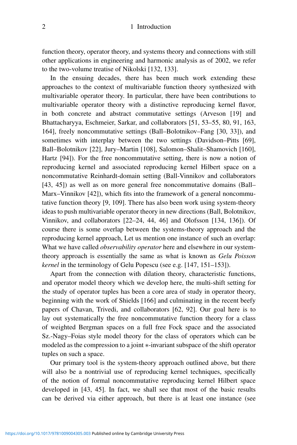function theory, operator theory, and systems theory and connections with still other applications in engineering and harmonic analysis as of 2002, we refer to the two-volume treatise of Nikolski [132, 133].

In the ensuing decades, there has been much work extending these approaches to the context of multivariable function theory synthesized with multivariable operator theory. In particular, there have been contributions to multivariable operator theory with a distinctive reproducing kernel flavor, in both concrete and abstract commutative settings (Arveson [19] and Bhattacharyya, Eschmeier, Sarkar, and collaborators [51, 53–55, 80, 91, 163, 164], freely noncommutative settings (Ball–Bolotnikov–Fang [30, 33]), and sometimes with interplay between the two settings (Davidson–Pitts [69], Ball–Bolotnikov [22], Jury–Martin [108], Salomon–Shalit–Shamovich [160], Hartz [94]). For the free noncommutative setting, there is now a notion of reproducing kernel and associated reproducing kernel Hilbert space on a noncommutative Reinhardt-domain setting (Ball-Vinnikov and collaborators [43, 45]) as well as on more general free noncommutative domains (Ball– Marx–Vinnikov [42]), which fits into the framework of a general noncommutative function theory [9, 109]. There has also been work using system-theory ideas to push multivariable operator theory in new directions (Ball, Bolotnikov, Vinnikov, and collaborators [22–24, 44, 46] and Olofsson [134, 136]). Of course there is some overlap between the systems-theory approach and the reproducing kernel approach, Let us mention one instance of such an overlap: What we have called *observability operator* here and elsewhere in our systemtheory approach is essentially the same as what is known as *Gelu Poisson kernel* in the terminology of Gelu Popescu (see e.g. [147, 151–153]).

Apart from the connection with dilation theory, characteristic functions, and operator model theory which we develop here, the multi-shift setting for the study of operator tuples has been a core area of study in operator theory, beginning with the work of Shields [166] and culminating in the recent beefy papers of Chavan, Trivedi, and collaborators [62, 92]. Our goal here is to lay out systematically the free noncommutative function theory for a class of weighted Bergman spaces on a full free Fock space and the associated Sz.-Nagy–Foias style model theory for the class of operators which can be modeled as the compression to a joint ∗-invariant subspace of the shift operator tuples on such a space.

Our primary tool is the system-theory approach outlined above, but there will also be a nontrivial use of reproducing kernel techniques, specifically of the notion of formal noncommutative reproducing kernel Hilbert space developed in [43, 45]. In fact, we shall see that most of the basic results can be derived via either approach, but there is at least one instance (see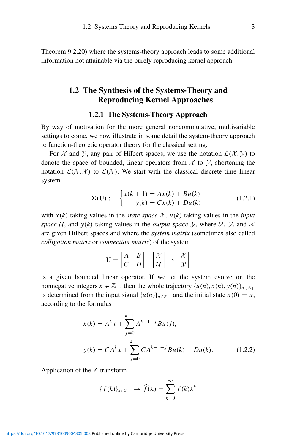Theorem 9.2.20) where the systems-theory approach leads to some additional information not attainable via the purely reproducing kernel approach.

# **1.2 The Synthesis of the Systems-Theory and Reproducing Kernel Approaches**

### **1.2.1 The Systems-Theory Approach**

By way of motivation for the more general noncommutative, multivariable settings to come, we now illustrate in some detail the system-theory approach to function-theoretic operator theory for the classical setting.

For X and Y, any pair of Hilbert spaces, we use the notation  $\mathcal{L}(\mathcal{X}, \mathcal{Y})$  to denote the space of bounded, linear operators from  $\mathcal X$  to  $\mathcal Y$ , shortening the notation  $\mathcal{L}(\mathcal{X}, \mathcal{X})$  to  $\mathcal{L}(\mathcal{X})$ . We start with the classical discrete-time linear system

$$
\Sigma(\mathbf{U}): \begin{cases} x(k+1) = Ax(k) + Bu(k) \\ y(k) = Cx(k) + Du(k) \end{cases}
$$
(1.2.1)

with  $x(k)$  taking values in the *state space* X,  $u(k)$  taking values in the *input space* U, and  $y(k)$  taking values in the *output space* Y, where U, Y, and X are given Hilbert spaces and where the *system matrix* (sometimes also called *colligation matrix* or *connection matrix*) of the system

$$
\mathbf{U} = \begin{bmatrix} A & B \\ C & D \end{bmatrix} : \begin{bmatrix} \mathcal{X} \\ \mathcal{U} \end{bmatrix} \rightarrow \begin{bmatrix} \mathcal{X} \\ \mathcal{Y} \end{bmatrix}
$$

is a given bounded linear operator. If we let the system evolve on the nonnegative integers  $n \in \mathbb{Z}_+$ , then the whole trajectory  $\{u(n), x(n), y(n)\}_{n \in \mathbb{Z}_+}$ is determined from the input signal  $\{u(n)\}_{n \in \mathbb{Z}_+}$  and the initial state  $x(0) = x$ , according to the formulas

$$
x(k) = A^{k}x + \sum_{j=0}^{k-1} A^{k-1-j}Bu(j),
$$
  

$$
y(k) = CA^{k}x + \sum_{j=0}^{k-1} CA^{k-1-j}Bu(k) + Du(k).
$$
 (1.2.2)

Application of the *Z*-transform

$$
\{f(k)\}_{k\in\mathbb{Z}_+} \mapsto \widehat{f}(\lambda) = \sum_{k=0}^{\infty} f(k)\lambda^k
$$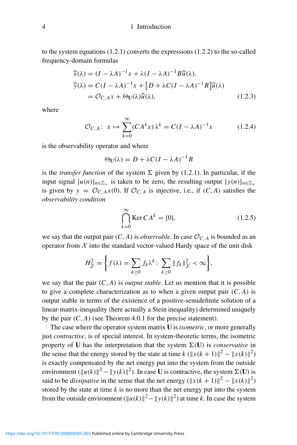#### 4 1 Introduction

to the system equations  $(1.2.1)$  converts the expressions  $(1.2.2)$  to the so-called frequency-domain formulas

$$
\widehat{x}(\lambda) = (I - \lambda A)^{-1} x + \lambda (I - \lambda A)^{-1} B \widehat{u}(\lambda),
$$
  
\n
$$
\widehat{y}(\lambda) = C(I - \lambda A)^{-1} x + [D + \lambda C (I - \lambda A)^{-1} B] \widehat{u}(\lambda)
$$
  
\n
$$
= \mathcal{O}_{C, A} x + \Theta_{\mathbf{U}}(\lambda) \widehat{u}(\lambda),
$$
\n(1.2.3)

where

$$
\mathcal{O}_{C,A}\colon x \mapsto \sum_{k=0}^{\infty} (CA^k x) \lambda^k = C(I - \lambda A)^{-1} x \tag{1.2.4}
$$

is the observability operator and where

$$
\Theta_{\mathbf{U}}(\lambda) = D + \lambda C (I - \lambda A)^{-1} B
$$

is the *transfer function* of the system  $\Sigma$  given by (1.2.1). In particular, if the input signal  $\{u(n)\}_{n\in\mathbb{Z}_+}$  is taken to be zero, the resulting output  $\{y(n)\}_{n\in\mathbb{Z}_+}$ is given by  $y = \mathcal{O}_{C, A}x(0)$ . If  $\mathcal{O}_{C, A}$  is injective, i.e., if  $(C, A)$  satisfies the *observability condition*

$$
\bigcap_{k=0}^{\infty} \text{Ker } CA^k = \{0\},\tag{1.2.5}
$$

we say that the output pair  $(C, A)$  is *observable*. In case  $\mathcal{O}_{C, A}$  is bounded as an operator from  $X$  into the standard vector-valued Hardy space of the unit disk

$$
H_{\mathcal{Y}}^2 = \bigg\{ f(\lambda) = \sum_{k \geq 0} f_k \lambda^k \colon \sum_{k \geq 0} ||f_k||_{\mathcal{Y}}^2 < \infty \bigg\},
$$

we say that the pair  $(C, A)$  is *output stable*. Let us mention that it is possible to give a complete characterization as to when a given output pair  $(C, A)$  is output stable in terms of the existence of a positive-semidefinite solution of a linear-matrix-inequality (here actually a Stein inequality) determined uniquely by the pair  $(C, A)$  (see Theorem 4.0.1 for the precise statement).

The case where the operator system matrix **U** is *isometric*, or more generally just *contractive*, is of special interest. In system-theoretic terms, the isometric property of **U** has the interpretation that the system  $\Sigma(\mathbf{U})$  is *conservative* in the sense that the energy stored by the state at time  $k (\Vert x(k+1) \Vert^2 - \Vert x(k) \Vert^2)$ is exactly compensated by the net energy put into the system from the outside environment  $(\Vert u(k) \Vert^2 - \Vert y(k) \Vert^2)$ . In case **U** is contractive, the system  $\Sigma(\mathbf{U})$  is said to be *dissipative* in the sense that the net energy  $(\Vert x(k+1) \Vert^2 - \Vert x(k) \Vert^2)$ stored by the state at time *k* is no more than the net energy put into the system from the outside environment  $(\Vert u(k) \Vert^2 - \Vert y(k) \Vert^2)$  at time *k*. In case the system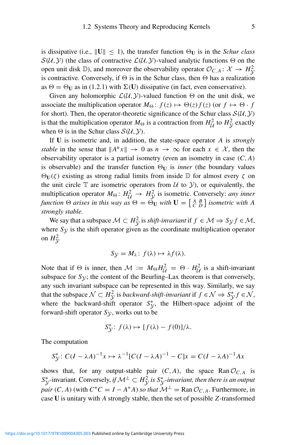is dissipative (i.e.,  $\|\mathbf{U}\| \leq 1$ ), the transfer function  $\Theta_{\mathbf{U}}$  is in the *Schur class*  $S(\mathcal{U}, \mathcal{Y})$  (the class of contractive  $\mathcal{L}(\mathcal{U}, \mathcal{Y})$ -valued analytic functions  $\Theta$  on the open unit disk D), and moreover the observability operator  $\mathcal{O}_{C,A}$ :  $\mathcal{X} \to H_v^2$ is contractive. Conversely, if  $\Theta$  is in the Schur class, then  $\Theta$  has a realization as  $\Theta = \Theta_U$  as in (1.2.1) with  $\Sigma(U)$  dissipative (in fact, even conservative).

Given any holomorphic  $\mathcal{L}(\mathcal{U}, \mathcal{Y})$ -valued function  $\Theta$  on the unit disk, we associate the multiplication operator  $M_{\Theta}$ :  $f(z) \mapsto \Theta(z) f(z)$  (or  $f \mapsto \Theta \cdot f$ for short). Then, the operator-theoretic significance of the Schur class  $S(\mathcal{U}, \mathcal{Y})$ is that the multiplication operator  $M_{\Theta}$  is a contraction from  $H_U^2$  to  $H_V^2$  exactly when  $\Theta$  is in the Schur class  $\mathcal{S}(\mathcal{U}, \mathcal{Y})$ .

If **U** is isometric and, in addition, the state-space operator *A* is *strongly stable* in the sense that  $||A^n x|| \to 0$  as  $n \to \infty$  for each  $x \in \mathcal{X}$ , then the observability operator is a partial isometry (even an isometry in case *(C,A)* is observable) and the transfer function  $\Theta_U$  is *inner* (the boundary values  $\Theta$ **U**(ζ) existing as strong radial limits from inside D for almost every  $\zeta$  on the unit circle  $\mathbb T$  are isometric operators from  $\mathcal U$  to  $\mathcal Y$ ), or equivalently, the multiplication operator  $M_{\Theta}$ :  $H_{\mathcal{U}}^2 \rightarrow H_{\mathcal{Y}}^2$  is isometric. Conversely: *any inner function*  $\Theta$  *arises in this way as*  $\Theta = \Theta_{\mathbf{U}}$  *with*  $\mathbf{U} = \begin{bmatrix} A & B \\ C & D \end{bmatrix}$  *isometric with*  $A$ *strongly stable.*

We say that a subspace  $M \subset H^2_{\mathcal{Y}}$  is *shift-invariant* if  $f \in \mathcal{M} \Rightarrow S_{\mathcal{Y}} f \in \mathcal{M}$ , where  $S_y$  is the shift operator given as the coordinate multiplication operator on  $H^2_{\mathcal{Y}}$ 

$$
S_{\mathcal{Y}} = M_{\lambda} : f(\lambda) \mapsto \lambda f(\lambda).
$$

Note that if  $\Theta$  is inner, then  $\mathcal{M} := M_{\Theta} H_{\mathcal{U}}^2 = \Theta \cdot H_{\mathcal{U}}^2$  is a shift-invariant subspace for  $S_{\mathcal{Y}}$ ; the content of the Beurling–Lax theorem is that conversely, any such invariant subspace can be represented in this way. Similarly, we say that the subspace  $\mathcal{N} \subset H^2_\mathcal{Y}$  is *backward-shift-invariant* if  $f \in \mathcal{N} \Rightarrow S^*_\mathcal{Y} f \in \mathcal{N}$ , where the backward-shift operator  $S_y^*$ , the Hilbert-space adjoint of the forward-shift operator  $S_{\mathcal{Y}}$ , works out to be

$$
S_{\mathcal{Y}}^*: f(\lambda) \mapsto [f(\lambda) - f(0)]/\lambda.
$$

The computation

$$
S_{\mathcal{Y}}^* : C(I - \lambda A)^{-1} x \mapsto \lambda^{-1} [C(I - \lambda A)^{-1} - C] x = C(I - \lambda A)^{-1} A x
$$

shows that, for any output-stable pair  $(C, A)$ , the space Ran  $\mathcal{O}_{C, A}$  is  $S^*_{\mathcal{Y}}$ -invariant. Conversely, *if*  $\mathcal{M}^{\perp} \subset H^2_{\mathcal{Y}}$  *is*  $S^*_{\mathcal{Y}}$ *-invariant, then there is an output pair*  $(C, A)$  (with  $C^*C = I - A^*A$ ) *so that*  $\mathcal{M}^{\perp} = \text{Ran} \mathcal{O}_{C, A}$ . Furthermore, in case **U** is unitary with *A* strongly stable, then the set of possible *Z*-transformed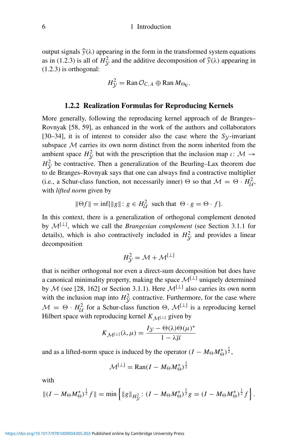#### 6 1 Introduction

output signals  $\hat{y}(λ)$  appearing in the form in the transformed system equations as in (1.2.3) is all of  $H_y^2$  and the additive decomposition of  $\hat{y}(\lambda)$  appearing in (1.2.3) is orthogonal. (1.2.3) is orthogonal:

$$
H_{\mathcal{Y}}^2 = \text{Ran}\,\mathcal{O}_{C,A} \oplus \text{Ran}\,M_{\Theta_{\mathbf{U}}}.
$$

#### **1.2.2 Realization Formulas for Reproducing Kernels**

More generally, following the reproducing kernel approach of de Branges– Rovnyak [58, 59], as enhanced in the work of the authors and collaborators [30–34], it is of interest to consider also the case where the  $S_V$ -invariant subspace  $M$  carries its own norm distinct from the norm inherited from the ambient space  $H^2$ <sub>y</sub> but with the prescription that the inclusion map  $\iota \colon \mathcal{M} \to$  $H_V^2$  be contractive. Then a generalization of the Beurling–Lax theorem due to de Branges–Rovnyak says that one can always find a contractive multiplier (i.e., a Schur-class function, not necessarily inner)  $\Theta$  so that  $\mathcal{M} = \Theta \cdot H_{\mathcal{U}}^2$ , with *lifted norm* given by

$$
\|\Theta f\| = \inf\{\|g\| \colon g \in H^2_{\mathcal{U}} \text{ such that } \Theta \cdot g = \Theta \cdot f\}.
$$

In this context, there is a generalization of orthogonal complement denoted by  $\mathcal{M}^{[\perp]}$ , which we call the *Brangesian complement* (see Section 3.1.1 for details), which is also contractively included in  $H_y^2$  and provides a linear decomposition

$$
H_{\mathcal{Y}}^2 = \mathcal{M} + \mathcal{M}^{[\perp]}
$$

that is neither orthogonal nor even a direct-sum decomposition but does have a canonical minimality property, making the space  $\mathcal{M}^{[\perp]}$  uniquely determined by M (see [28, 162] or Section 3.1.1). Here  $\mathcal{M}^{[\perp]}$  also carries its own norm with the inclusion map into  $H_V^2$  contractive. Furthermore, for the case where  $M = \Theta \cdot H^2_{\mathcal{U}}$  for a Schur-class function  $\Theta$ ,  $\mathcal{M}^{[\perp]}$  is a reproducing kernel Hilbert space with reproducing kernel  $K_{\mathcal{M}}[\perp]$  given by

$$
K_{\mathcal{M}^{[\perp]}}(\lambda,\mu) = \frac{I_{\mathcal{Y}} - \Theta(\lambda)\Theta(\mu)^*}{1 - \lambda \overline{\mu}}
$$

and as a lifted-norm space is induced by the operator  $(I - M_{\Theta} M_{\Theta}^*)^{\frac{1}{2}}$ ,

$$
\mathcal{M}^{[\perp]} = \text{Ran}(I - M_{\Theta}M_{\Theta}^*)^{\frac{1}{2}}
$$

with

$$
\|(I - M_{\Theta}M_{\Theta}^*)^{\frac{1}{2}}f\| = \min\left\{\|g\|_{H_{\mathcal{Y}}^2} : (I - M_{\Theta}M_{\Theta}^*)^{\frac{1}{2}}g = (I - M_{\Theta}M_{\Theta}^*)^{\frac{1}{2}}f\right\}.
$$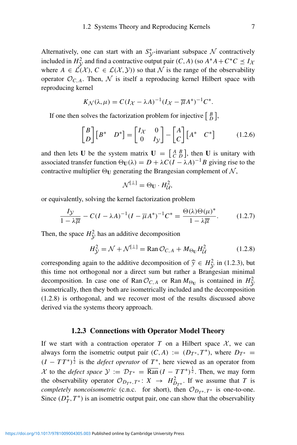Alternatively, one can start with an  $S^*_{\mathcal{Y}}$ -invariant subspace N contractively included in  $H_Y^2$  and find a contractive output pair  $(C, A)$  (so  $A^*A + C^*C \preceq I_X$ where  $A \in \mathcal{L}(\mathcal{X})$ ,  $C \in \mathcal{L}(\mathcal{X}, \mathcal{Y})$  so that N is the range of the observability operator  $\mathcal{O}_{C,A}$ . Then, N is itself a reproducing kernel Hilbert space with reproducing kernel

$$
K_{\mathcal{N}}(\lambda, \mu) = C(I_{\mathcal{X}} - \lambda A)^{-1} (I_{\mathcal{X}} - \overline{\mu} A^*)^{-1} C^*.
$$

If one then solves the factorization problem for injective  $\begin{bmatrix} B \\ D \end{bmatrix}$ ,

$$
\begin{bmatrix} B \\ D \end{bmatrix} \begin{bmatrix} B^* & D^* \end{bmatrix} = \begin{bmatrix} I_{\mathcal{X}} & 0 \\ 0 & I_{\mathcal{Y}} \end{bmatrix} - \begin{bmatrix} A \\ C \end{bmatrix} \begin{bmatrix} A^* & C^* \end{bmatrix}
$$
(1.2.6)

and then lets **U** be the system matrix  $\mathbf{U} = \begin{bmatrix} A & B \\ C & D \end{bmatrix}$ , then **U** is unitary with associated transfer function  $\Theta_U(\lambda) = D + \lambda C(I - \lambda A)^{-1}B$  giving rise to the contractive multiplier  $\Theta_U$  generating the Brangesian complement of  $\mathcal{N},$ 

$$
\mathcal{N}^{[\perp]} = \Theta_{\mathbf{U}} \cdot H_{\mathcal{U}}^2,
$$

or equivalently, solving the kernel factorization problem

$$
\frac{I\mathcal{Y}}{1-\lambda\overline{\mu}} - C(I - \lambda A)^{-1}(I - \overline{\mu}A^*)^{-1}C^* = \frac{\Theta(\lambda)\Theta(\mu)^*}{1-\lambda\overline{\mu}}.\tag{1.2.7}
$$

Then, the space  $H^2_{\mathcal{Y}}$  has an additive decomposition

$$
H_{\mathcal{Y}}^2 = \mathcal{N} + \mathcal{N}^{[\perp]} = \text{Ran}\,\mathcal{O}_{C,A} + M_{\Theta_{\mathbf{U}}}H_{\mathcal{U}}^2 \tag{1.2.8}
$$

corresponding again to the additive decomposition of  $\hat{y} \in H_{\hat{y}}^2$  in (1.2.3), but<br>this time not orthogonal nor a direct sum but rather a Brangasian minimal this time not orthogonal nor a direct sum but rather a Brangesian minimal decomposition. In case one of Ran  $\mathcal{O}_{C,A}$  or Ran  $M_{\Theta U}$  is contained in  $H^2_{\mathcal{Y}}$  $\frac{y}{y}$  isometrically, then they both are isometrically included and the decomposition (1.2.8) is orthogonal, and we recover most of the results discussed above derived via the systems theory approach.

#### **1.2.3 Connections with Operator Model Theory**

If we start with a contraction operator  $T$  on a Hilbert space  $X$ , we can always form the isometric output pair  $(C, A) := (D_T^*, T^*)$ , where  $D_{T^*} =$  $(I - TT^*)^{\frac{1}{2}}$  is the *defect operator* of  $T^*$ , here viewed as an operator from X to the *defect space*  $\mathcal{Y} := \mathcal{D}_{T^*} = \overline{\text{Ran}} (I - TT^*)^{\frac{1}{2}}$ . Then, we may form the observability operator  $\mathcal{O}_{D_T^*T^*}: X \to H^2_{D_T^*}.$  If we assume that *T* is *completely noncoisometric* (c.n.c. for short), then  $\mathcal{O}_{D_{T^*},T^*}$  is one-to-one. Since  $(D_T^*, T^*)$  is an isometric output pair, one can show that the observability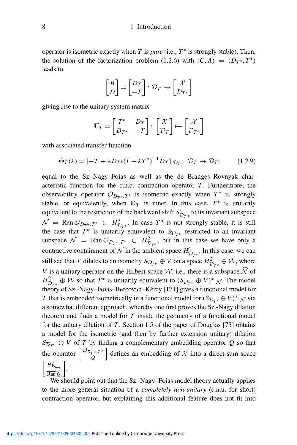#### 8 1 Introduction

operator is isometric exactly when *T* is *pure* (i.e.,  $T^*$  is strongly stable). Then, the solution of the factorization problem (1.2.6) with  $(C, A) = (D_{T^*}, T^*)$ leads to

$$
\begin{bmatrix} B \\ D \end{bmatrix} = \begin{bmatrix} D_T \\ -T \end{bmatrix} : \mathcal{D}_T \to \begin{bmatrix} \mathcal{X} \\ \mathcal{D}_{T^*} \end{bmatrix}
$$

giving rise to the unitary system matrix

$$
\mathbf{U}_T = \begin{bmatrix} T^* & D_T \\ D_{T^*} & -T \end{bmatrix} \colon \begin{bmatrix} \mathcal{X} \\ \mathcal{D}_T \end{bmatrix} \mapsto \begin{bmatrix} \mathcal{X} \\ \mathcal{D}_{T^*} \end{bmatrix}
$$

with associated transfer function

$$
\Theta_T(\lambda) = [-T + \lambda D_{T^*}(I - \lambda T^*)^{-1} D_T]]_{\mathcal{D}_T} \colon \mathcal{D}_T \to \mathcal{D}_{T^*} \tag{1.2.9}
$$

equal to the Sz.-Nagy–Foias as well as the de Branges–Rovnyak characteristic function for the c.n.c. contraction operator  $T$ . Furthermore, the observability operator  $\mathcal{O}_{D_{T^*}, T^*}$  is isometric exactly when  $T^*$  is strongly stable, or equivalently, when  $\Theta_T$  is inner. In this case,  $T^*$  is unitarily equivalent to the restriction of the backward shift  $S_{\mathcal{D}_{T^*}}^*$  to its invariant subspace  $\mathcal{N}$  = Ran  $\mathcal{O}_{D_{T^*}, T^*}$   $\subset H_{D_{T^*}}^2$ . In case  $T^*$  is not strongly stable, it is still the case that  $T^*$  is unitarily equivalent to  $S_{\mathcal{D}_{T^*}}$  restricted to an invariant subspace  $\mathcal{N} = \text{Ran } \mathcal{O}_{D_T^*,T^*} \subset H^2_{\mathcal{D}_{T^*}}$ , but in this case we have only a contractive containment of  $N$  in the ambient space  $H_{\mathcal{D}_{T^*}}^2$ . In this case, we can still see that *T* dilates to an isometry  $S_{\mathcal{D}_{T^*}} \oplus V$  on a space  $H^2_{\mathcal{D}_{T^*}} \oplus \mathcal{W}$ , where *V* is a unitary operator on the Hilbert space  $W$ , i.e., there is a subspace  $\widetilde{N}$  of  $H_{\mathcal{D}_{T^*}}^2 \oplus \mathcal{W}$  so that  $T^*$  is unitarily equivalent to  $(S_{\mathcal{D}_{T^*}} \oplus V)^*|_{\mathcal{N}}$ . The model theory of Sz.-Nagy-Foias-Bercovici-Kércy [171] gives a functional model for *T* that is embedded isometrically in a functional model for  $(S_{\mathcal{D}_{T^*}} \oplus V)^*|_{\mathcal{N}}$  via a somewhat different approach, whereby one first proves the Sz.-Nagy dilation theorem and finds a model for *T* inside the geometry of a functional model for the unitary dilation of *T* . Section 1.5 of the paper of Douglas [73] obtains a model for the isometric (and then by further extension unitary) dilation  $S_{\mathcal{D}_{T^*}} \oplus V$  of *T* by finding a complementary embedding operator *Q* so that the operator  $\begin{bmatrix} \mathcal{O}_{D_{T^*},T^*} \\ \mathcal{Q} \end{bmatrix}$  defines an embedding of X into a direct-sum space  $\left[ H_{\mathcal{D}_{T^*}}^2 \right]$ Ran *Q* 1 .

We should point out that the Sz.-Nagy–Foias model theory actually applies to the more general situation of a *completely non-unitary* (c.n.u. for short) contraction operator, but explaining this additional feature does not fit into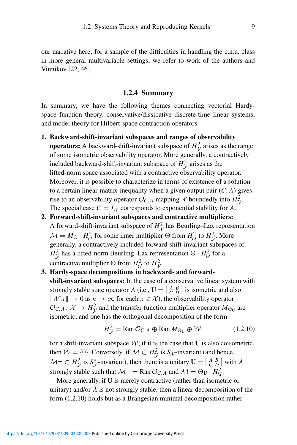our narrative here; for a sample of the difficulties in handling the c.n.u. class in more general multivariable settings, we refer to work of the authors and Vinnikov [22, 46].

### **1.2.4 Summary**

In summary, we have the following themes connecting vectorial Hardyspace function theory, conservative/dissipative discrete-time linear systems, and model theory for Hilbert-space contraction operators:

**1. Backward-shift-invariant subspaces and ranges of observability**

**operators:** A backward-shift-invariant subspace of  $H_y^2$  arises as the range of some isometric observability operator. More generally, a contractively included backward-shift-invariant subspace of  $H_y^2$  arises as the lifted-norm space associated with a contractive observability operator. Moreover, it is possible to characterize in terms of existence of a solution to a certain linear-matrix-inequality when a given output pair  $(C, A)$  gives rise to an observability operator  $\mathcal{O}_{C,A}$  mapping  $\mathcal X$  boundedly into  $H^2_{\mathcal Y}$ . The special case  $C = I_{\mathcal{X}}$  corresponds to exponential stability for *A*.

- **2. Forward-shift-invariant subspaces and contractive multipliers:** A forward-shift-invariant subspace of  $H_y^2$  has Beurling–Lax representation  $M = M_{\Theta} \cdot H_{\mathcal{U}}^2$  for some inner multiplier  $\Theta$  from  $H_{\mathcal{U}}^2$  to  $H_{\mathcal{Y}}^2$ . More generally, a contractively included forward-shift-invariant subspaces of  $H_V^2$  has a lifted-norm Beurling–Lax representation  $\Theta \cdot H_U^2$  for a contractive multiplier  $\Theta$  from  $H_U^2$  to  $H_V^2$ .
- **3. Hardy-space decompositions in backward- and forwardshift-invariant subspaces:** In the case of a conservative linear system with strongly stable state operator *A* (i.e.,  $\mathbf{U} = \begin{bmatrix} A & B \\ C & D \end{bmatrix}$  is isometric and also  $||A^n x|| \to 0$  as  $n \to \infty$  for each  $x \in \mathcal{X}$ , the observability operator  $\mathcal{O}_{C,A}: \mathcal{X} \to H^2_{\mathcal{Y}}$  and the transfer-function multiplier operator  $M_{\Theta_U}$  are isometric, and one has the orthogonal decomposition of the form

$$
H_V^2 = \text{Ran}\,\mathcal{O}_{C,A} \oplus \text{Ran}\,M_{\Theta_U} \oplus \mathcal{W} \tag{1.2.10}
$$

for a shift-invariant subspace  $W$ ; if it is the case that  $U$  is also coisometric, then  $W = \{0\}$ . Conversely, if  $\mathcal{M} \subset H^2_{\mathcal{Y}}$  is  $S_{\mathcal{Y}}$ -invariant (and hence  $\mathcal{M}^{\perp} \subset H_{\mathcal{Y}}^2$  is  $S_{\mathcal{Y}}^*$ -invariant), then there is a unitary  $\mathbf{U} = \begin{bmatrix} A & B \\ C & D \end{bmatrix}$  with A strongly stable such that  $\mathcal{M}^{\perp} = \text{Ran} \mathcal{O}_{C,A}$  and  $\mathcal{M} = \Theta_{\mathbf{U}} \cdot H_{\mathcal{U}}^2$ .

More generally, if **U** is merely contractive (rather than isometric or unitary) and/or *A* is not strongly stable, then a linear decomposition of the form (1.2.10) holds but as a Brangesian minimal decomposition rather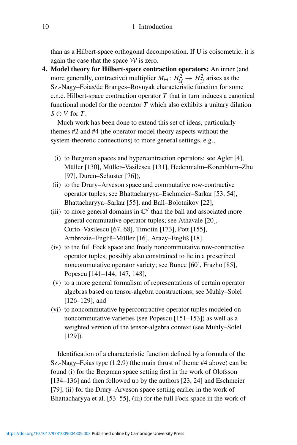than as a Hilbert-space orthogonal decomposition. If **U** is coisometric, it is again the case that the space  $W$  is zero.

**4. Model theory for Hilbert-space contraction operators:** An inner (and more generally, contractive) multiplier  $M_{\Theta}$ :  $H_{\mathcal{U}}^2 \rightarrow H_{\mathcal{Y}}^2$  arises as the Sz.-Nagy–Foias/de Branges–Rovnyak characteristic function for some c.n.c. Hilbert-space contraction operator *T* that in turn induces a canonical functional model for the operator  $T$  which also exhibits a unitary dilation  $S \oplus V$  for *T*.

Much work has been done to extend this set of ideas, particularly themes #2 and #4 (the operator-model theory aspects without the system-theoretic connections) to more general settings, e.g.,

- (i) to Bergman spaces and hypercontraction operators; see Agler [4], Müller [130], Müller–Vasilescu [131], Hedenmalm–Korenblum–Zhu [97], Duren–Schuster [76]),
- (ii) to the Drury–Arveson space and commutative row-contractive operator tuples; see Bhattacharyya–Eschmeier–Sarkar [53, 54], Bhattacharyya–Sarkar [55], and Ball–Bolotnikov [22],
- (iii) to more general domains in  $\mathbb{C}^d$  than the ball and associated more general commutative operator tuples; see Athavale [20], Curto–Vasilescu [67, 68], Timotin [173], Pott [155], Ambrozie–Engliš–Müller [16], Arazy–Engliš [18].
- (iv) to the full Fock space and freely noncommutative row-contractive operator tuples, possibly also constrained to lie in a prescribed noncommutative operator variety; see Bunce [60], Frazho [85], Popescu [141–144, 147, 148],
- (v) to a more general formalism of representations of certain operator algebras based on tensor-algebra constructions; see Muhly–Solel [126–129], and
- (vi) to noncommutative hypercontractive operator tuples modeled on noncommutative varieties (see Popescu [151–153]) as well as a weighted version of the tensor-algebra context (see Muhly–Solel [129]).

Identification of a characteristic function defined by a formula of the Sz.-Nagy–Foias type (1.2.9) (the main thrust of theme #4 above) can be found (i) for the Bergman space setting first in the work of Olofsson [134–136] and then followed up by the authors [23, 24] and Eschmeier [79], (ii) for the Drury–Arveson space setting earlier in the work of Bhattacharyya et al. [53–55], (iii) for the full Fock space in the work of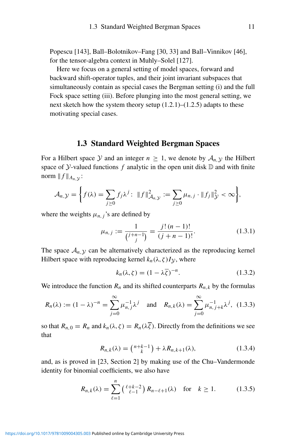Popescu [143], Ball–Bolotnikov–Fang [30, 33] and Ball–Vinnikov [46], for the tensor-algebra context in Muhly–Solel [127].

Here we focus on a general setting of model spaces, forward and backward shift-operator tuples, and their joint invariant subspaces that simultaneously contain as special cases the Bergman setting (i) and the full Fock space setting (iii). Before plunging into the most general setting, we next sketch how the system theory setup  $(1.2.1)$ – $(1.2.5)$  adapts to these motivating special cases.

# **1.3 Standard Weighted Bergman Spaces**

For a Hilbert space Y and an integer  $n \geq 1$ , we denote by  $A_{n, \mathcal{Y}}$  the Hilbert space of  $\mathcal Y$ -valued functions  $f$  analytic in the open unit disk  $\mathbb D$  and with finite norm  $|| f ||_{A_n}$  :

$$
\mathcal{A}_{n,\mathcal{Y}} = \bigg\{ f(\lambda) = \sum_{j\geq 0} f_j \lambda^j : ||f||^2_{\mathcal{A}_{n,\mathcal{Y}}} := \sum_{j\geq 0} \mu_{n,j} \cdot ||f_j||^2_{\mathcal{Y}} < \infty \bigg\},
$$

where the weights  $\mu_{n,j}$ 's are defined by

$$
\mu_{n,j} := \frac{1}{\binom{j+n-1}{j}} = \frac{j!(n-1)!}{(j+n-1)!}.
$$
\n(1.3.1)

The space  $A_{n,y}$  can be alternatively characterized as the reproducing kernel Hilbert space with reproducing kernel  $k_n(\lambda, \zeta)I_\mathcal{Y}$ , where

$$
k_n(\lambda, \zeta) = (1 - \lambda \overline{\zeta})^{-n}.
$$
 (1.3.2)

We introduce the function  $R_n$  and its shifted counterparts  $R_{n,k}$  by the formulas

$$
R_n(\lambda) := (1 - \lambda)^{-n} = \sum_{j=0}^{\infty} \mu_{n,j}^{-1} \lambda^j
$$
 and  $R_{n,k}(\lambda) = \sum_{j=0}^{\infty} \mu_{n,j+k}^{-1} \lambda^j$ , (1.3.3)

so that  $R_{n,0} = R_n$  and  $k_n(\lambda, \zeta) = R_n(\lambda, \overline{\zeta})$ . Directly from the definitions we see that

$$
R_{n,k}(\lambda) = \binom{n+k-1}{k} + \lambda R_{n,k+1}(\lambda),
$$
\n(1.3.4)

and, as is proved in [23, Section 2] by making use of the Chu–Vandermonde identity for binomial coefficients, we also have

$$
R_{n,k}(\lambda) = \sum_{\ell=1}^n \left(\begin{array}{c} \ell+k-2\\ \ell-1 \end{array}\right) R_{n-\ell+1}(\lambda) \quad \text{for} \quad k \ge 1. \tag{1.3.5}
$$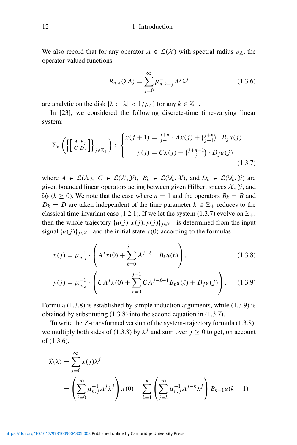We also record that for any operator  $A \in \mathcal{L}(\mathcal{X})$  with spectral radius  $\rho_A$ , the operator-valued functions

$$
R_{n,k}(\lambda A) = \sum_{j=0}^{\infty} \mu_{n,k+j}^{-1} A^j \lambda^j
$$
 (1.3.6)

are analytic on the disk  $\{\lambda : |\lambda| < 1/\rho_A\}$  for any  $k \in \mathbb{Z}_+$ .

In [23], we considered the following discrete-time time-varying linear system:

$$
\Sigma_n\left(\left\{\left[\begin{array}{c} A & B_j \\ C & D_j \end{array}\right]\right\}_{j\in\mathbb{Z}_+}\right) : \begin{cases} x(j+1) = \frac{j+n}{j+1} \cdot Ax(j) + \binom{j+n}{j+1} \cdot B_j u(j) \\ y(j) = Cx(j) + \binom{j+n-1}{j} \cdot D_j u(j) \end{cases} \tag{1.3.7}
$$

where  $A \in \mathcal{L}(\mathcal{X})$ ,  $C \in \mathcal{L}(\mathcal{X}, \mathcal{Y})$ ,  $B_k \in \mathcal{L}(\mathcal{U}_k, \mathcal{X})$ , and  $D_k \in \mathcal{L}(\mathcal{U}_k, \mathcal{Y})$  are given bounded linear operators acting between given Hilbert spaces  $\mathcal{X}, \mathcal{Y}$ , and  $U_k$  ( $k \ge 0$ ). We note that the case where  $n = 1$  and the operators  $B_k = B$  and  $D_k = D$  are taken independent of the time parameter  $k \in \mathbb{Z}_+$  reduces to the classical time-invariant case (1.2.1). If we let the system (1.3.7) evolve on  $\mathbb{Z}_+$ , then the whole trajectory  $\{u(j),x(j),y(j)\}_{j\in\mathbb{Z}_+}$  is determined from the input signal  $\{u(j)\}_{j\in\mathbb{Z}_+}$  and the initial state  $x(0)$  according to the formulas

$$
x(j) = \mu_{n,j}^{-1} \cdot \left( A^j x(0) + \sum_{\ell=0}^{j-1} A^{j-\ell-1} B_\ell u(\ell) \right), \tag{1.3.8}
$$

$$
y(j) = \mu_{n,j}^{-1} \cdot \left( C A^j x(0) + \sum_{\ell=0}^{j-1} C A^{j-\ell-1} B_\ell u(\ell) + D_j u(j) \right). \tag{1.3.9}
$$

Formula (1.3.8) is established by simple induction arguments, while (1.3.9) is obtained by substituting (1.3.8) into the second equation in (1.3.7).

To write the *Z*-transformed version of the system-trajectory formula (1.3.8), we multiply both sides of (1.3.8) by  $\lambda^{j}$  and sum over  $j \ge 0$  to get, on account of (1.3.6),

$$
\widehat{x}(\lambda) = \sum_{j=0}^{\infty} x(j)\lambda^j
$$
  
= 
$$
\left(\sum_{j=0}^{\infty} \mu_{n,j}^{-1} A^j \lambda^j\right) x(0) + \sum_{k=1}^{\infty} \left(\sum_{j=k}^{\infty} \mu_{n,j}^{-1} A^{j-k} \lambda^j\right) B_{k-1} u(k-1)
$$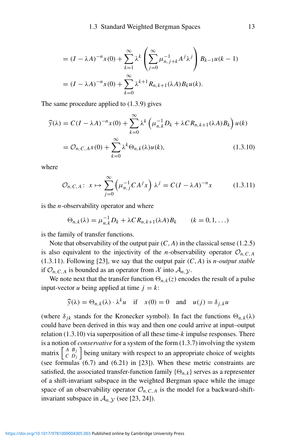$$
= (I - \lambda A)^{-n} x(0) + \sum_{k=1}^{\infty} \lambda^k \left( \sum_{j=0}^{\infty} \mu_{n,j+k}^{-1} A^j \lambda^j \right) B_{k-1} u(k-1)
$$
  
=  $(I - \lambda A)^{-n} x(0) + \sum_{k=0}^{\infty} \lambda^{k+1} R_{n,k+1}(\lambda A) B_k u(k).$ 

The same procedure applied to (1.3.9) gives

$$
\widehat{y}(\lambda) = C(I - \lambda A)^{-n} x(0) + \sum_{k=0}^{\infty} \lambda^k \left( \mu_{n,k}^{-1} D_k + \lambda C R_{n,k+1}(\lambda A) B_k \right) u(k)
$$

$$
= O_{n,C,A} x(0) + \sum_{k=0}^{\infty} \lambda^k \Theta_{n,k}(\lambda) u(k), \qquad (1.3.10)
$$

where

$$
\mathcal{O}_{n,C,A} \colon x \mapsto \sum_{j=0}^{\infty} \left( \mu_{n,j}^{-1} C A^j x \right) \lambda^j = C(I - \lambda A)^{-n} x \tag{1.3.11}
$$

is the *n*-observability operator and where

$$
\Theta_{n,k}(\lambda) = \mu_{n,k}^{-1} D_k + \lambda C R_{n,k+1}(\lambda A) B_k \qquad (k = 0, 1, \ldots)
$$

is the family of transfer functions.

Note that observability of the output pair  $(C, A)$  in the classical sense  $(1.2.5)$ is also equivalent to the injectivity of the *n*-observability operator  $\mathcal{O}_{n,C,A}$ (1.3.11). Following [23], we say that the output pair *(C,A)* is *n-output stable* if  $\mathcal{O}_{n,C,A}$  is bounded as an operator from X into  $\mathcal{A}_{n,Y}$ .

We note next that the transfer function  $\Theta_{n,k}(z)$  encodes the result of a pulse input-vector *u* being applied at time  $j = k$ :

$$
\widehat{y}(\lambda) = \Theta_{n,k}(\lambda) \cdot \lambda^k u \quad \text{if} \quad x(0) = 0 \quad \text{and} \quad u(j) = \delta_{j,k} u
$$

(where  $\delta_{jk}$  stands for the Kronecker symbol). In fact the functions  $\Theta_{n,k}(\lambda)$ could have been derived in this way and then one could arrive at input–output relation (1.3.10) via superposition of all these time-*k* impulse responses. There is a notion of *conservative* for a system of the form (1.3.7) involving the system matrix  $\begin{bmatrix} A & B_j \\ C & D_j \end{bmatrix}$  being unitary with respect to an appropriate choice of weights (see formulas (6.7) and (6.21) in [23]). When these metric constraints are satisfied, the associated transfer-function family  $\{\Theta_{n,k}\}\$  serves as a representer of a shift-invariant subspace in the weighted Bergman space while the image space of an observability operator  $\mathcal{O}_{n,C,A}$  is the model for a backward-shiftinvariant subspace in  $A_{n}$ ,  $y$  (see [23, 24]).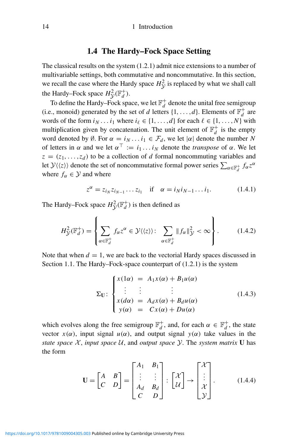## **1.4 The Hardy–Fock Space Setting**

The classical results on the system (1.2.1) admit nice extensions to a number of multivariable settings, both commutative and noncommutative. In this section, we recall the case where the Hardy space  $H_V^2$  is replaced by what we shall call the Hardy–Fock space  $H_y^2(\mathbb{F}_d^+)$ .

To define the Hardy–Fock space, we let  $\mathbb{F}_d^+$  denote the unital free semigroup (i.e., monoid) generated by the set of *d* letters  $\{1, \ldots, d\}$ . Elements of  $\mathbb{F}_d^+$  are words of the form  $i_N \dots i_1$  where  $i_\ell \in \{1, \dots, d\}$  for each  $\ell \in \{1, \dots, N\}$  with multiplication given by concatenation. The unit element of  $\mathbb{F}_d^+$  is the empty word denoted by  $\emptyset$ . For  $\alpha = i_N \dots i_1 \in \mathcal{F}_d$ , we let  $|\alpha|$  denote the number N of letters in  $\alpha$  and we let  $\alpha^{\top} := i_1 \dots i_N$  denote the *transpose* of  $\alpha$ . We let  $z = (z_1, \ldots, z_d)$  to be a collection of *d* formal noncommuting variables and let  $\mathcal{Y}\langle\langle z \rangle\rangle$  denote the set of noncommutative formal power series  $\sum_{\alpha \in \mathbb{F}_d^+} f_\alpha z^\alpha$ where  $f_{\alpha} \in \mathcal{Y}$  and where

$$
z^{\alpha} = z_{i_N} z_{i_{N-1}} \dots z_{i_1} \quad \text{if} \quad \alpha = i_N i_{N-1} \dots i_1. \tag{1.4.1}
$$

The Hardy–Fock space  $H^2_{\mathcal{Y}}(\mathbb{F}_d^+)$  is then defined as

$$
H_{\mathcal{Y}}^{2}(\mathbb{F}_{d}^{+}) = \left\{ \sum_{\alpha \in \mathbb{F}_{d}^{+}} f_{\alpha} z^{\alpha} \in \mathcal{Y} \langle \langle z \rangle \rangle : \sum_{\alpha \in \mathbb{F}_{d}^{+}} \| f_{\alpha} \|_{\mathcal{Y}}^{2} < \infty \right\}.
$$
 (1.4.2)

Note that when  $d = 1$ , we are back to the vectorial Hardy spaces discussed in Section 1.1. The Hardy–Fock-space counterpart of (1.2.1) is the system

$$
\Sigma_{\mathbf{U}}: \begin{cases} x(1\alpha) = A_1 x(\alpha) + B_1 u(\alpha) \\ \vdots \qquad \vdots \qquad \vdots \\ x(d\alpha) = A_d x(\alpha) + B_d u(\alpha) \\ y(\alpha) = Cx(\alpha) + D u(\alpha) \end{cases}
$$
(1.4.3)

which evolves along the free semigroup  $\mathbb{F}_d^+$ , and, for each  $\alpha \in \mathbb{F}_d^+$ , the state vector  $x(\alpha)$ , input signal  $u(\alpha)$ , and output signal  $y(\alpha)$  take values in the *state space*  $X$ *, input space*  $U$ *, and output space*  $Y$ *. The system matrix* **U** has the form

$$
\mathbf{U} = \begin{bmatrix} A & B \\ C & D \end{bmatrix} = \begin{bmatrix} A_1 & B_1 \\ \vdots & \vdots \\ A_d & B_d \\ C & D \end{bmatrix} : \begin{bmatrix} \mathcal{X} \\ \mathcal{U} \end{bmatrix} \rightarrow \begin{bmatrix} \mathcal{X} \\ \vdots \\ \mathcal{X} \\ \mathcal{Y} \end{bmatrix} . \tag{1.4.4}
$$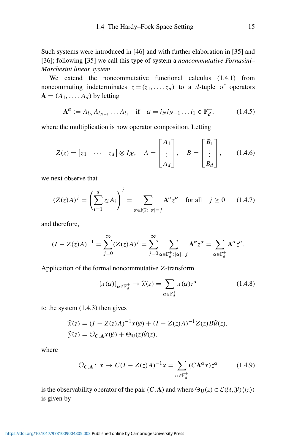Such systems were introduced in [46] and with further elaboration in [35] and [36]; following [35] we call this type of system a *noncommutative Fornasini– Marchesini linear system*.

We extend the noncommutative functional calculus  $(1.4.1)$  from noncommuting indeterminates  $z = (z_1, \ldots, z_d)$  to a *d*-tuple of operators  $A = (A_1, \ldots, A_d)$  by letting

$$
\mathbf{A}^{\alpha} := A_{i_N} A_{i_{N-1}} \dots A_{i_1} \quad \text{if} \quad \alpha = i_N i_{N-1} \dots i_1 \in \mathbb{F}_d^+, \tag{1.4.5}
$$

where the multiplication is now operator composition. Letting

$$
Z(z) = \begin{bmatrix} z_1 & \cdots & z_d \end{bmatrix} \otimes I_{\mathcal{X}}, \quad A = \begin{bmatrix} A_1 \\ \vdots \\ A_d \end{bmatrix}, \quad B = \begin{bmatrix} B_1 \\ \vdots \\ B_d \end{bmatrix}, \quad (1.4.6)
$$

we next observe that

$$
(Z(z)A)^j = \left(\sum_{i=1}^d z_i A_i\right)^j = \sum_{\alpha \in \mathbb{F}_d^+ : |\alpha| = j} A^{\alpha} z^{\alpha} \quad \text{for all} \quad j \ge 0 \qquad (1.4.7)
$$

and therefore,

$$
(I - Z(z)A)^{-1} = \sum_{j=0}^{\infty} (Z(z)A)^j = \sum_{j=0}^{\infty} \sum_{\alpha \in \mathbb{F}_d^+ : |\alpha| = j} A^{\alpha} z^{\alpha} = \sum_{\alpha \in \mathbb{F}_d^+} A^{\alpha} z^{\alpha}.
$$

Application of the formal noncommutative *Z*-transform

$$
\{x(\alpha)\}_{\alpha \in \mathbb{F}_d^+} \mapsto \widehat{x}(z) = \sum_{\alpha \in \mathbb{F}_d^+} x(\alpha) z^{\alpha} \tag{1.4.8}
$$

to the system (1.4.3) then gives

$$
\widehat{x}(z) = (I - Z(z)A)^{-1}x(\emptyset) + (I - Z(z)A)^{-1}Z(z)B\widehat{u}(z),
$$
  

$$
\widehat{y}(z) = \mathcal{O}_{C,\mathbf{A}}x(\emptyset) + \Theta_{\mathbf{U}}(z)\widehat{u}(z),
$$

where

$$
\mathcal{O}_{C,\mathbf{A}}\colon x \mapsto C(I - Z(z)A)^{-1}x = \sum_{\alpha \in \mathbb{F}_d^+} (C\mathbf{A}^{\alpha}x)z^{\alpha} \tag{1.4.9}
$$

is the observability operator of the pair  $(C, \mathbf{A})$  and where  $\Theta_{\mathbf{U}}(z) \in \mathcal{L}(\mathcal{U}, \mathcal{Y}) \langle \langle z \rangle \rangle$ is given by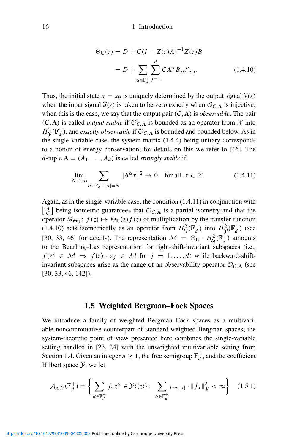$$
\Theta_{\mathbf{U}}(z) = D + C(I - Z(z)A)^{-1}Z(z)B
$$

$$
= D + \sum_{\alpha \in \mathbb{F}_d^+} \sum_{j=1}^d C \mathbf{A}^{\alpha} B_j z^{\alpha} z_j.
$$
(1.4.10)

Thus, the initial state  $x = x_{\emptyset}$  is uniquely determined by the output signal  $\hat{y}(z)$ when the input signal  $\widehat{u}(z)$  is taken to be zero exactly when  $\mathcal{O}_{C,\mathbf{A}}$  is injective; when this is the case, we say that the output pair *(C,***A***)* is *observable*. The pair  $(C, A)$  is called *output stable* if  $\mathcal{O}_{C, A}$  is bounded as an operator from X into  $H^2_{\mathcal{Y}}(\mathbb{F}_d^+)$ , and *exactly observable* if  $\mathcal{O}_{C,\mathbf{A}}$  is bounded and bounded below. As in the single-variable case, the system matrix (1.4.4) being unitary corresponds to a notion of energy conservation; for details on this we refer to [46]. The *d*-tuple  $\mathbf{A} = (A_1, \ldots, A_d)$  is called *strongly stable* if

$$
\lim_{N \to \infty} \sum_{\alpha \in \mathbb{F}_d^+ \colon |\alpha| = N} \|\mathbf{A}^\alpha x\|^2 \to 0 \quad \text{for all} \ \ x \in \mathcal{X}.\tag{1.4.11}
$$

Again, as in the single-variable case, the condition (1.4.11) in conjunction with  $\begin{bmatrix} A \\ C \end{bmatrix}$  being isometric guarantees that  $\mathcal{O}_{C,\mathbf{A}}$  is a partial isometry and that the operator  $M_{\Theta_{\mathbf{U}}}: f(z) \mapsto \Theta_{\mathbf{U}}(z) f(z)$  of multiplication by the transfer function (1.4.10) acts isometrically as an operator from  $H^2_d(\mathbb{F}^+_d)$  into  $H^2_{\mathcal{V}}(\mathbb{F}^+_d)$  (see [30, 33, 46] for details). The representation  $\mathcal{M} = \Theta_{\mathbf{U}} \cdot H_{\mathcal{U}}^2(\mathbb{F}_d^+)$  amounts to the Beurling–Lax representation for right-shift-invariant subspaces (i.e.,  $f(z) \in \mathcal{M} \Rightarrow f(z) \cdot z_i \in \mathcal{M}$  for  $j = 1, ..., d$ ) while backward-shiftinvariant subspaces arise as the range of an observability operator  $\mathcal{O}_{C,\mathbf{A}}$  (see [30, 33, 46, 142]).

## **1.5 Weighted Bergman–Fock Spaces**

We introduce a family of weighted Bergman–Fock spaces as a multivariable noncommutative counterpart of standard weighted Bergman spaces; the system-theoretic point of view presented here combines the single-variable setting handled in [23, 24] with the unweighted multivariable setting from Section 1.4. Given an integer  $n \geq 1$ , the free semigroup  $\mathbb{F}_d^+$ , and the coefficient Hilbert space  $\mathcal{Y}$ , we let

$$
\mathcal{A}_{n,\mathcal{Y}}(\mathbb{F}_d^+) = \left\{ \sum_{\alpha \in \mathbb{F}_d^+} f_\alpha z^\alpha \in \mathcal{Y} \langle \langle z \rangle \rangle : \sum_{\alpha \in \mathbb{F}_d^+} \mu_{n,|\alpha|} \cdot \| f_\alpha \|_{\mathcal{Y}}^2 < \infty \right\} \tag{1.5.1}
$$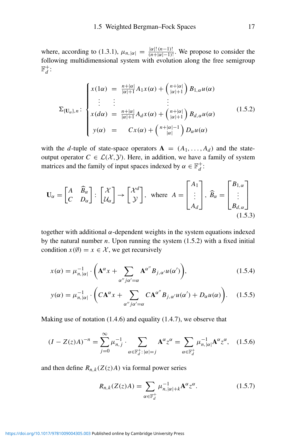where, according to (1.3.1),  $\mu_{n,|\alpha|} = \frac{|\alpha|!(n-1)!}{(n+|\alpha|-1)!}$ . We propose to consider the following multidimensional system with evolution along the free semigroup  $\mathbb{F}_d^+$ :

$$
\Sigma_{(\mathbf{U}_{\alpha}),n} : \begin{cases}\nx(\mathbf{1}\alpha) = \frac{n+|\alpha|}{|\alpha|+1} A_1 x(\alpha) + \binom{n+|\alpha|}{|\alpha|+1} B_{1,\alpha} u(\alpha) \\
\vdots & \vdots \\
x(d\alpha) = \frac{n+|\alpha|}{|\alpha|+1} A_d x(\alpha) + \binom{n+|\alpha|}{|\alpha|+1} B_{d,\alpha} u(\alpha) \\
y(\alpha) = C x(\alpha) + \binom{n+|\alpha|-1}{|\alpha|} D_{\alpha} u(\alpha)\n\end{cases} (1.5.2)
$$

with the *d*-tuple of state-space operators  $A = (A_1, \ldots, A_d)$  and the stateoutput operator  $C \in \mathcal{L}(\mathcal{X}, \mathcal{Y})$ . Here, in addition, we have a family of system matrices and the family of input spaces indexed by  $\alpha \in \mathbb{F}_d^+$ :

$$
\mathbf{U}_{\alpha} = \begin{bmatrix} A & \widehat{B}_{\alpha} \\ C & D_{\alpha} \end{bmatrix} : \begin{bmatrix} \mathcal{X} \\ \mathcal{U}_{\alpha} \end{bmatrix} \rightarrow \begin{bmatrix} \mathcal{X}^{d} \\ \mathcal{Y} \end{bmatrix}, \text{ where } A = \begin{bmatrix} A_{1} \\ \vdots \\ A_{d} \end{bmatrix}, \widehat{B}_{\alpha} = \begin{bmatrix} B_{1,\alpha} \\ \vdots \\ B_{d,\alpha} \end{bmatrix}
$$
(1.5.3)

together with additional *α*-dependent weights in the system equations indexed by the natural number *n*. Upon running the system (1.5.2) with a fixed initial condition  $x(\emptyset) = x \in \mathcal{X}$ , we get recursively

$$
x(\alpha) = \mu_{n,|\alpha|}^{-1} \cdot \left( \mathbf{A}^{\alpha} x + \sum_{\alpha''j\alpha'=\alpha} \mathbf{A}^{\alpha''} B_{j,\alpha'} u(\alpha') \right),\tag{1.5.4}
$$

$$
y(\alpha) = \mu_{n,|\alpha|}^{-1} \cdot \bigg( C \mathbf{A}^{\alpha} x + \sum_{\alpha''j\alpha'=\alpha} C \mathbf{A}^{\alpha''} B_{j,\alpha'} u(\alpha') + D_{\alpha} u(\alpha) \bigg). \tag{1.5.5}
$$

Making use of notation (1.4.6) and equality (1.4.7), we observe that

$$
(I - Z(z)A)^{-n} = \sum_{j=0}^{\infty} \mu_{n,j}^{-1} \cdot \sum_{\alpha \in \mathbb{F}_d^+ : |\alpha| = j} \mathbf{A}^{\alpha} z^{\alpha} = \sum_{\alpha \in \mathbb{F}_d^+} \mu_{n,|\alpha|}^{-1} \mathbf{A}^{\alpha} z^{\alpha}, \quad (1.5.6)
$$

and then define  $R_{n,k}(Z(z)A)$  via formal power series

$$
R_{n,k}(Z(z)A) = \sum_{\alpha \in \mathbb{F}_d^+} \mu_{n,|\alpha|+k}^{-1} \mathbf{A}^{\alpha} z^{\alpha}.
$$
 (1.5.7)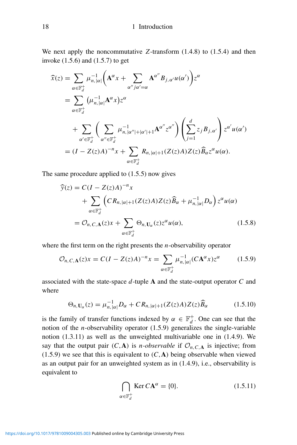#### 18 18 1 Introduction

We next apply the noncommutative *Z*-transform (1.4.8) to (1.5.4) and then invoke (1.5.6) and (1.5.7) to get

$$
\hat{x}(z) = \sum_{\alpha \in \mathbb{F}_d^+} \mu_{n,|\alpha|}^{-1} \left( \mathbf{A}^{\alpha} x + \sum_{\alpha''j\alpha' = \alpha} \mathbf{A}^{\alpha''} B_{j,\alpha'} u(\alpha') \right) z^{\alpha}
$$
\n
$$
= \sum_{\alpha \in \mathbb{F}_d^+} \left( \mu_{n,|\alpha|}^{-1} \mathbf{A}^{\alpha} x \right) z^{\alpha}
$$
\n
$$
+ \sum_{\alpha' \in \mathbb{F}_d^+} \left( \sum_{\alpha'' \in \mathbb{F}_d^+} \mu_{n,|\alpha''|+|\alpha'|+1}^{-1} \mathbf{A}^{\alpha''} z^{\alpha''} \right) \left( \sum_{j=1}^d z_j B_{j,\alpha'} \right) z^{\alpha'} u(\alpha')
$$
\n
$$
= (I - Z(z)A)^{-n} x + \sum_{\alpha \in \mathbb{F}_d^+} R_{n,|\alpha|+1} (Z(z)A) Z(z) \widehat{B}_{\alpha} z^{\alpha} u(\alpha).
$$

The same procedure applied to (1.5.5) now gives

$$
\widehat{y}(z) = C(I - Z(z)A)^{-n}x \n+ \sum_{\alpha \in \mathbb{F}_d^+} \left( C R_{n, |\alpha|+1} (Z(z)A) Z(z) \widehat{B}_{\alpha} + \mu_{n, |\alpha|}^{-1} D_{\alpha} \right) z^{\alpha} u(\alpha) \n= \mathcal{O}_{n, C, \mathbf{A}}(z) x + \sum_{\alpha \in \mathbb{F}_d^+} \Theta_{n, \mathbf{U}_{\alpha}}(z) z^{\alpha} u(\alpha),
$$
\n(1.5.8)

where the first term on the right presents the *n*-observability operator

$$
\mathcal{O}_{n,C,\mathbf{A}}(z)x = C(I - Z(z)A)^{-n}x = \sum_{\alpha \in \mathbb{F}_d^+} \mu_{n,|\alpha|}^{-1}(C\mathbf{A}^{\alpha}x)z^{\alpha} \tag{1.5.9}
$$

associated with the state-space *d*-tuple **A** and the state-output operator *C* and where

$$
\Theta_{n,\mathbf{U}_{\alpha}}(z) = \mu_{n,|\alpha|}^{-1} D_{\alpha} + C R_{n,|\alpha|+1} (Z(z)A) Z(z) \widehat{B}_{\alpha}
$$
 (1.5.10)

is the family of transfer functions indexed by  $\alpha \in \mathbb{F}_d^+$ . One can see that the notion of the *n*-observability operator (1.5.9) generalizes the single-variable notion (1.3.11) as well as the unweighted multivariable one in (1.4.9). We say that the output pair  $(C, A)$  is *n*-observable if  $\mathcal{O}_{n, C, A}$  is injective; from  $(1.5.9)$  we see that this is equivalent to  $(C, A)$  being observable when viewed as an output pair for an unweighted system as in (1.4.9), i.e., observability is equivalent to

$$
\bigcap_{\alpha \in \mathbb{F}_d^+} \text{Ker } C\mathbf{A}^{\alpha} = \{0\}.
$$
 (1.5.11)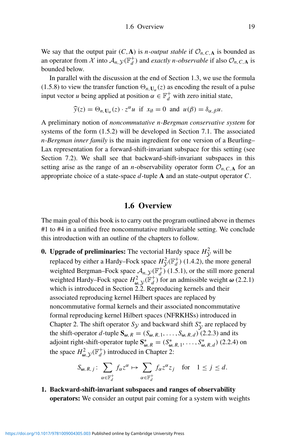We say that the output pair  $(C, A)$  is *n-output stable* if  $\mathcal{O}_{n, C, A}$  is bounded as an operator from X into  $A_{n, \mathcal{Y}}(\mathbb{F}_d^+)$  and *exactly n-observable* if also  $\mathcal{O}_{n, C, \mathbf{A}}$  is bounded below.

In parallel with the discussion at the end of Section 1.3, we use the formula (1.5.8) to view the transfer function  $\Theta_{n,\mathbf{U}_{\alpha}}(z)$  as encoding the result of a pulse input vector *u* being applied at position  $\alpha \in \mathbb{F}_d^+$  with zero initial state,

$$
\widehat{y}(z) = \Theta_{n,\mathbf{U}_{\alpha}}(z) \cdot z^{\alpha} u \text{ if } x_{\beta} = 0 \text{ and } u(\beta) = \delta_{\alpha,\beta} u.
$$

A preliminary notion of *noncommutative n-Bergman conservative system* for systems of the form (1.5.2) will be developed in Section 7.1. The associated *n-Bergman inner family* is the main ingredient for one version of a Beurling– Lax representation for a forward-shift-invariant subspace for this setting (see Section 7.2). We shall see that backward-shift-invariant subspaces in this setting arise as the range of an *n*-observability operator form  $\mathcal{O}_{n,C,\mathbf{A}}$  for an appropriate choice of a state-space *d*-tuple **A** and an state-output operator *C*.

### **1.6 Overview**

The main goal of this book is to carry out the program outlined above in themes #1 to #4 in a unified free noncommutative multivariable setting. We conclude this introduction with an outline of the chapters to follow.

**0. Upgrade of preliminaries:** The vectorial Hardy space  $H_y^2$  will be replaced by either a Hardy–Fock space  $H_V^2(\mathbb{F}_d^+)$  (1.4.2), the more general weighted Bergman–Fock space  $A_{n, y}(F_d^+)$  (1.5.1), or the still more general weighted Hardy–Fock space  $H^2_{\omega, \mathcal{Y}}(\mathbb{F}_d^+)$  for an admissible weight  $\omega$  (2.2.1) which is introduced in Section 2.2. Reproducing kernels and their associated reproducing kernel Hilbert spaces are replaced by noncommutative formal kernels and their associated noncommutative formal reproducing kernel Hilbert spaces (NFRKHSs) introduced in Chapter 2. The shift operator  $S_y$  and backward shift  $S_y^*$  are replaced by the shift-operator *d*-tuple  $S_{\omega, R} = (S_{\omega, R, 1}, \ldots, S_{\omega, R, d})$  (2.2.3) and its adjoint right-shift-operator tuple  $S_{\omega, R}^* = (S_{\omega, R, 1}^*, \dots, S_{\omega, R, d}^*)$  (2.2.4) on the space  $H^2_{\omega, \mathcal{Y}}(\mathbb{F}_d^+)$  introduced in Chapter 2:

$$
S_{\boldsymbol{\omega}, R, j} \colon \sum_{\alpha \in \mathbb{F}_d^+} f_{\alpha} z^{\alpha} \mapsto \sum_{\alpha \in \mathbb{F}_d^+} f_{\alpha} z^{\alpha} z_j \quad \text{for} \quad 1 \le j \le d.
$$

**1. Backward-shift-invariant subspaces and ranges of observability operators:** We consider an output pair coming for a system with weights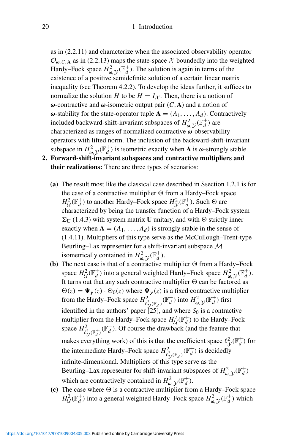as in (2.2.11) and characterize when the associated observability operator  $\mathcal{O}_{\omega, C, A}$  as in (2.2.13) maps the state-space X boundedly into the weighted Hardy–Fock space  $H^2_{\omega, \mathcal{Y}}(\mathbb{F}_d^+)$ . The solution is again in terms of the existence of a positive semidefinite solution of a certain linear matrix inequality (see Theorem 4.2.2). To develop the ideas further, it suffices to normalize the solution *H* to be  $H = I_{\mathcal{X}}$ . Then, there is a notion of *ω*-contractive and *ω*-isometric output pair *(C,***A***)* and a notion of *ω*-stability for the state-operator tuple **. Contractively** included backward-shift-invariant subspaces of  $H^2_{\omega, \mathcal{Y}}(\mathbb{F}_d^+)$  are characterized as ranges of normalized contractive *ω*-observability operators with lifted norm. The inclusion of the backward-shift-invariant subspace in  $H^2_{\omega, \mathcal{Y}}(\mathbb{F}^+_d)$  is isometric exactly when **A** is  $\omega$ -strongly stable.

- **2. Forward-shift-invariant subspaces and contractive multipliers and their realizations:** There are three types of scenarios:
	- **(a)** The result most like the classical case described in Ssection 1.2.1 is for the case of a contractive multiplier  $\Theta$  from a Hardy–Fock space  $H^2_U(\mathbb{F}_d^+)$  to another Hardy–Fock space  $H^2_V(\mathbb{F}_d^+)$ . Such  $\Theta$  are characterized by being the transfer function of a Hardy–Fock system  $\Sigma_U$  (1.4.3) with system matrix **U** unitary, and with  $\Theta$  strictly inner exactly when  $A = (A_1, \ldots, A_d)$  is strongly stable in the sense of (1.4.11). Multipliers of this type serve as the McCullough–Trent-type Beurling–Lax representer for a shift-invariant subspace M isometrically contained in  $H^2_{\omega, \mathcal{Y}}(\mathbb{F}_d^+)$ .
	- **(b)** The next case is that of a contractive multiplier  $\Theta$  from a Hardy–Fock space  $H^2_U(\mathbb{F}_d^+)$  into a general weighted Hardy–Fock space  $H^2_{\omega, \mathcal{Y}}(\mathbb{F}_d^+)$ . It turns out that any such contractive multiplier  $\Theta$  can be factored as  $\Theta(z) = \Psi_{\gamma}(z) \cdot \Theta_0(z)$  where  $\Psi_{\gamma}(z)$  is a fixed contractive multiplier from the Hardy–Fock space  $H^2_{\ell^2_{\mathcal{Y}}(\mathbb{F}_d^+)}(\mathbb{F}_d^+)$  into  $H^2_{\omega,\mathcal{Y}}(\mathbb{F}_d^+)$  first identified in the authors' paper  $[25]$ , and where  $S_0$  is a contractive multiplier from the Hardy–Fock space  $H^2_d(\mathbb{F}_d^+)$  to the Hardy–Fock space  $H^2_{\ell^2 y(\mathbb{F}^+_d)}(\mathbb{F}^+_d)$ . Of course the drawback (and the feature that makes everything work) of this is that the coefficient space  $\ell_{\mathcal{Y}}^2(\mathbb{F}_d^+)$  for the intermediate Hardy–Fock space  $H^2_{\ell^2_y(\mathbb{F}^+_d)}(\mathbb{F}^+_d)$  is decidedly infinite-dimensional. Multipliers of this type serve as the Beurling–Lax representer for shift-invariant subspaces of  $H^2_{\omega, \mathcal{Y}}(\mathbb{F}_d^+)$ which are contractively contained in  $H^2_{\omega, \mathcal{Y}}(\mathbb{F}_d^+)$ .
	- (c) The case where  $\Theta$  is a contractive multiplier from a Hardy–Fock space  $H_d^2(\mathbb{F}_d^+)$  into a general weighted Hardy–Fock space  $H^2_{\omega, \mathcal{Y}}(\mathbb{F}_d^+)$  which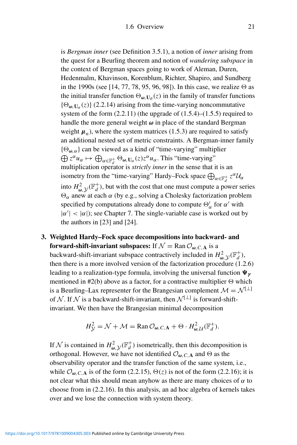is *Bergman inner* (see Definition 3.5.1), a notion of *inner* arising from the quest for a Beurling theorem and notion of *wandering subspace* in the context of Bergman spaces going to work of Aleman, Duren, Hedenmalm, Khavinson, Korenblum, Richter, Shapiro, and Sundberg in the 1990s (see [14, 77, 78, 95, 96, 98]). In this case, we realize  $\Theta$  as the initial transfer function  $\Theta_{\omega, \mathbf{U}_{\emptyset}}(z)$  in the family of transfer functions  $\{\Theta_{\omega}, \mathbf{U}_{\alpha}(z)\}\$  (2.2.14) arising from the time-varying noncommutative system of the form (2.2.11) (the upgrade of (1.5.4)–(1.5.5) required to handle the more general weight *ω* in place of the standard Bergman weight  $\mu_n$ ), where the system matrices (1.5.3) are required to satisfy an additional nested set of metric constraints. A Bergman-inner family  $\bigoplus z^{\alpha}u_{\alpha} \mapsto \bigoplus_{\alpha \in \mathbb{F}_d^+} \Theta_{\omega, \mathbf{U}_{\alpha}}(z) z^{\alpha} u_{\alpha}$ . This "time-varying" {*-<sup>ω</sup>,α*} can be viewed as a kind of "time-varying" multiplier multiplication operator is *strictly inner* in the sense that it is an isometry from the "time-varying" Hardy–Fock space  $\bigoplus_{\alpha \in \mathbb{F}_d^+} z^{\alpha} \mathcal{U}_{\alpha}$ into  $H^2_{\omega, \mathcal{Y}}(\mathbb{F}_d^+)$ , but with the cost that one must compute a power series *-<sup>α</sup>* anew at each *α* (by e.g., solving a Cholesky factorization problem specified by computations already done to compute  $\Theta'_\alpha$  for  $\alpha'$  with  $|\alpha'| < |\alpha|$ ); see Chapter 7. The single-variable case is worked out by the authors in [23] and [24].

**3. Weighted Hardy–Fock space decompositions into backward- and forward-shift-invariant subspaces:** If  $\mathcal{N} = \text{Ran} \mathcal{O}_{\omega, C, A}$  is a backward-shift-invariant subspace contractively included in  $H^2_{\omega, \mathcal{Y}}(\mathbb{F}_d^+)$ then there is a more involved version of the factorization procedure (1.2.6) leading to a realization-type formula, involving the universal function *γ* mentioned in  $#2(b)$  above as a factor, for a contractive multiplier  $\Theta$  which is a Beurling–Lax representer for the Brangesian complement  $\mathcal{M} = \mathcal{N}^{\lfloor \perp \rfloor}$ of N. If N is a backward-shift-invariant, then  $\mathcal{N}^{[\perp]}$  is forward-shiftinvariant. We then have the Brangesian minimal decomposition

$$
H_{\mathcal{Y}}^2 = \mathcal{N} + \mathcal{M} = \text{Ran}\,\mathcal{O}_{\omega,C,\mathbf{A}} + \Theta \cdot H_{\omega,\mathcal{U}}^2(\mathbb{F}_d^+).
$$

If N is contained in  $H^2_{\omega, \mathcal{Y}}(\mathbb{F}_d^+)$  isometrically, then this decomposition is orthogonal. However, we have not identified  $\mathcal{O}_{\boldsymbol{\omega},C,\mathbf{A}}$  and  $\Theta$  as the observability operator and the transfer function of the same system, i.e., while  $\mathcal{O}_{\omega, C, A}$  is of the form (2.2.15),  $\Theta(z)$  is not of the form (2.2.16); it is not clear what this should mean anyhow as there are many choices of *α* to choose from in (2.2.16). In this analysis, an ad hoc algebra of kernels takes over and we lose the connection with system theory.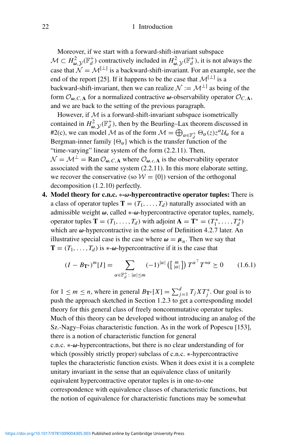Moreover, if we start with a forward-shift-invariant subspace  $M \subset H^2_{\omega, \mathcal{Y}}(\mathbb{F}_d^+)$  contractively included in  $H^2_{\omega, \mathcal{Y}}(\mathbb{F}_d^+)$ , it is not always the case that  $\mathcal{N} = \mathcal{M}^{[\perp]}$  is a backward-shift-invariant. For an example, see the end of the report [25]. If it happens to be the case that  $\mathcal{M}^{[\perp]}$  is a backward-shift-invariant, then we can realize  $\mathcal{N} := \mathcal{M}^{\perp}$  as being of the form  $\mathcal{O}_{\omega, C, A}$  for a normalized contractive  $\omega$ -observability operator  $\mathcal{O}_{C, A}$ , and we are back to the setting of the previous paragraph.

However, if  $M$  is a forward-shift-invariant subspace isometrically contained in  $H^2_{\omega, \mathcal{Y}}(\mathbb{F}_d^+)$ , then by the Beurling–Lax theorem discussed in #2(c), we can model M as of the form  $M = \bigoplus_{\alpha \in \mathbb{F}_d^+} \Theta_{\alpha}(z) z^{\alpha} U_{\alpha}$  for a Bergman-inner family  $\{\Theta_{\alpha}\}\$  which is the transfer function of the "time-varying" linear system of the form (2.2.11). Then,  $\mathcal{N} = \mathcal{M}^{\perp} = \text{Ran} \mathcal{O}_{\omega, C, A}$  where  $\mathcal{O}_{\omega, c, A}$  is the observability operator associated with the same system (2.2.11). In this more elaborate setting, we recover the conservative (so  $W = \{0\}$ ) version of the orthogonal decomposition (1.2.10) perfectly.

**4. Model theory for c.n.c.** ∗**-***ω***-hypercontractive operator tuples:** There is a class of operator tuples  $T = (T_1, \ldots, T_d)$  naturally associated with an admissible weight *ω*, called ∗-*ω*-hypercontractive operator tuples, namely, operator tuples **T** =  $(T_1, \ldots, T_d)$  with adjoint **A** = **T**<sup>\*</sup> =  $(T_1^*, \ldots, T_d^*)$ which are *ω*-hypercontractive in the sense of Definition 4.2.7 later. An illustrative special case is the case where  $\omega = \mu_n$ . Then we say that  $\mathbf{T} = (T_1, \ldots, T_d)$  is  $\ast$ - $\omega$ -hypercontractive if it is the case that

$$
(I - B_{\mathbf{T}^*})^m [I] = \sum_{\alpha \in \mathbb{F}_d^+ \colon |\alpha| \le m} (-1)^{|\alpha|} \left( \begin{bmatrix} m \\ |\alpha| \end{bmatrix} \right) T^{\alpha^{\top}} T^{*\alpha} \ge 0 \qquad (1.6.1)
$$

for  $1 \le m \le n$ , where in general  $B_{\mathbf{T}^*}[X] = \sum_{j=1}^d T_j X T_j^*$ . Our goal is to push the approach sketched in Section 1.2.3 to get a corresponding model theory for this general class of freely noncommutative operator tuples. Much of this theory can be developed without introducing an analog of the Sz.-Nagy–Foias characteristic function. As in the work of Popescu [153], there is a notion of characteristic function for general c.n.c. ∗-*ω*-hypercontractions, but there is no clear understanding of for which (possibly strictly proper) subclass of c.n.c. ∗-hypercontractive tuples the characteristic function exists. When it does exist it is a complete unitary invariant in the sense that an equivalence class of unitarily equivalent hypercontractive operator tuples is in one-to-one correspondence with equivalence classes of characteristic functions, but the notion of equivalence for characteristic functions may be somewhat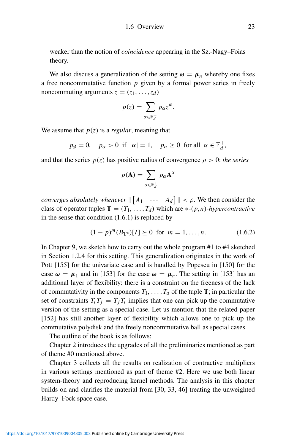weaker than the notion of *coincidence* appearing in the Sz.-Nagy–Foias theory.

We also discuss a generalization of the setting  $\omega = \mu_n$  whereby one fixes a free noncommutative function *p* given by a formal power series in freely noncommuting arguments  $z = (z_1, \ldots, z_d)$ 

$$
p(z) = \sum_{\alpha \in \mathbb{F}_d^+} p_{\alpha} z^{\alpha}.
$$

We assume that  $p(z)$  is a *regular*, meaning that

 $p_{\emptyset} = 0$ ,  $p_{\alpha} > 0$  if  $|\alpha| = 1$ ,  $p_{\alpha} \ge 0$  for all  $\alpha \in \mathbb{F}_d^+$ ,

and that the series  $p(z)$  has positive radius of convergence  $\rho > 0$ : *the series* 

$$
p(\mathbf{A}) = \sum_{\alpha \in \mathbb{F}_d^+} p_\alpha \mathbf{A}^\alpha
$$

*converges absolutely whenever*  $\|\begin{bmatrix} A_1 & \cdots & A_d \end{bmatrix}\| < \rho$ . We then consider the class of operator tuples  $\mathbf{T} = (T_1, \ldots, T_d)$  which are  $\ast$ -*(p,n)-hypercontractive* in the sense that condition (1.6.1) is replaced by

$$
(1 - p)^m (B_{\mathbf{T}^*})[I] \succeq 0 \text{ for } m = 1, \dots, n. \tag{1.6.2}
$$

In Chapter 9, we sketch how to carry out the whole program #1 to #4 sketched in Section 1.2.4 for this setting. This generalization originates in the work of Pott [155] for the univariate case and is handled by Popescu in [150] for the case  $\omega = \mu_1$  and in [153] for the case  $\omega = \mu_n$ . The setting in [153] has an additional layer of flexibility: there is a constraint on the freeness of the lack of commutativity in the components  $T_1, \ldots, T_d$  of the tuple **T**; in particular the set of constraints  $T_i T_j = T_j T_i$  implies that one can pick up the commutative version of the setting as a special case. Let us mention that the related paper [152] has still another layer of flexibility which allows one to pick up the commutative polydisk and the freely noncommutative ball as special cases.

The outline of the book is as follows:

Chapter 2 introduces the upgrades of all the preliminaries mentioned as part of theme #0 mentioned above.

Chapter 3 collects all the results on realization of contractive multipliers in various settings mentioned as part of theme #2. Here we use both linear system-theory and reproducing kernel methods. The analysis in this chapter builds on and clarifies the material from [30, 33, 46] treating the unweighted Hardy–Fock space case.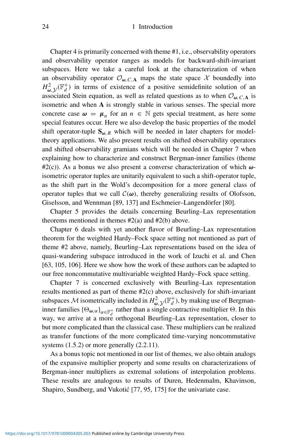Chapter 4 is primarily concerned with theme #1, i.e., observability operators and observability operator ranges as models for backward-shift-invariant subspaces. Here we take a careful look at the characterization of when an observability operator  $\mathcal{O}_{\omega, C, A}$  maps the state space X boundedly into  $H^2_{\omega}$ ,  $y(\mathbb{F}_d^+)$  in terms of existence of a positive semidefinite solution of an associated Stein equation, as well as related questions as to when  $\mathcal{O}_{\omega, C, A}$  is isometric and when **A** is strongly stable in various senses. The special more concrete case  $\omega = \mu_n$  for an  $n \in \mathbb{N}$  gets special treatment, as here some special features occur. Here we also develop the basic properties of the model shift operator-tuple  $S_{\omega, R}$  which will be needed in later chapters for modeltheory applications. We also present results on shifted observability operators and shifted observability gramians which will be needed in Chapter 7 when explaining how to characterize and construct Bergman-inner families (theme #2(c)). As a bonus we also present a converse characterization of which *ω*isometric operator tuples are unitarily equivalent to such a shift-operator tuple, as the shift part in the Wold's decomposition for a more general class of operator tuples that we call  $C(\omega)$ , thereby generalizing results of Olofsson, Giselsson, and Wennman [89, 137] and Eschmeier–Langendörfer [80].

Chapter 5 provides the details concerning Beurling–Lax representation theorems mentioned in themes  $#2(a)$  and  $#2(b)$  above.

Chapter 6 deals with yet another flavor of Beurling–Lax representation theorem for the weighted Hardy–Fock space setting not mentioned as part of theme #2 above, namely, Beurling–Lax representations based on the idea of quasi-wandering subspace introduced in the work of Izuchi et al. and Chen [63, 105, 106]. Here we show how the work of these authors can be adapted to our free noncommutative multivariable weighted Hardy–Fock space setting.

Chapter 7 is concerned exclusively with Beurling–Lax representation results mentioned as part of theme #2(c) above, exclusively for shift-invariant subspaces M isometrically included in  $H^2_{\omega}$ ,  $y(\mathbb{F}_d^+)$ , by making use of Bergmaninner families  ${\{\Theta_{\omega,\alpha}\}}_{\alpha \in \mathbb{F}_d^+}$  rather than a single contractive multiplier  $\Theta$ . In this way, we arrive at a more orthogonal Beurling–Lax representation, closer to but more complicated than the classical case. These multipliers can be realized as transfer functions of the more complicated time-varying noncommutative systems  $(1.5.2)$  or more generally  $(2.2.11)$ .

As a bonus topic not mentioned in our list of themes, we also obtain analogs of the expansive multiplier property and some results on characterizations of Bergman-inner multipliers as extremal solutions of interpolation problems. These results are analogous to results of Duren, Hedenmalm, Khavinson, Shapiro, Sundberg, and Vukotić [77, 95, 175] for the univariate case.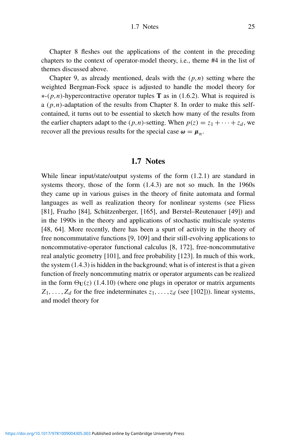Chapter 8 fleshes out the applications of the content in the preceding chapters to the context of operator-model theory, i.e., theme #4 in the list of themes discussed above.

Chapter 9, as already mentioned, deals with the *(p,n)* setting where the weighted Bergman-Fock space is adjusted to handle the model theory for ∗-*(p,n)*-hypercontractive operator tuples **T** as in (1.6.2). What is required is a  $(p, n)$ -adaptation of the results from Chapter 8. In order to make this selfcontained, it turns out to be essential to sketch how many of the results from the earlier chapters adapt to the  $(p, n)$ -setting. When  $p(z) = z_1 + \cdots + z_d$ , we recover all the previous results for the special case  $\omega = \mu_n$ .

# **1.7 Notes**

While linear input/state/output systems of the form (1.2.1) are standard in systems theory, those of the form (1.4.3) are not so much. In the 1960s they came up in various guises in the theory of finite automata and formal languages as well as realization theory for nonlinear systems (see Fliess [81], Frazho [84], Schützenberger, [165], and Berstel–Reutenauer [49]) and in the 1990s in the theory and applications of stochastic multiscale systems [48, 64]. More recently, there has been a spurt of activity in the theory of free noncommutative functions [9, 109] and their still-evolving applications to noncommutative-operator functional calculus [8, 172], free-noncommutative real analytic geometry [101], and free probability [123]. In much of this work, the system (1.4.3) is hidden in the background; what is of interest is that a given function of freely noncommuting matrix or operator arguments can be realized in the form  $\Theta$ <sub>U</sub>(*z*) (1.4.10) (where one plugs in operator or matrix arguments  $Z_1, \ldots, Z_d$  for the free indeterminates  $z_1, \ldots, z_d$  (see [102])). linear systems, and model theory for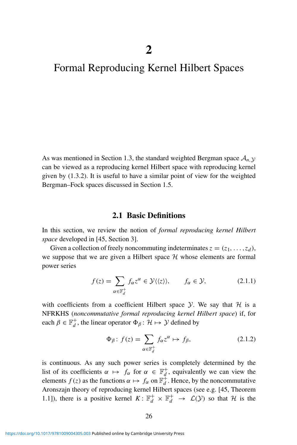# Formal Reproducing Kernel Hilbert Spaces

As was mentioned in Section 1.3, the standard weighted Bergman space  $A_{n,y}$ can be viewed as a reproducing kernel Hilbert space with reproducing kernel given by (1.3.2). It is useful to have a similar point of view for the weighted Bergman–Fock spaces discussed in Section 1.5.

### **2.1 Basic Definitions**

In this section, we review the notion of *formal reproducing kernel Hilbert space* developed in [45, Section 3].

Given a collection of freely noncommuting indeterminates  $z = (z_1, \ldots, z_d)$ , we suppose that we are given a Hilbert space  $H$  whose elements are formal power series

$$
f(z) = \sum_{\alpha \in \mathbb{F}_d^+} f_{\alpha} z^{\alpha} \in \mathcal{Y} \langle \langle z \rangle \rangle, \qquad f_{\alpha} \in \mathcal{Y}, \tag{2.1.1}
$$

with coefficients from a coefficient Hilbert space  $Y$ . We say that  $H$  is a NFRKHS (*noncommutative formal reproducing kernel Hilbert space*) if, for each  $\beta \in \mathbb{F}_d^+$ , the linear operator  $\Phi_\beta: \mathcal{H} \mapsto \mathcal{Y}$  defined by

$$
\Phi_{\beta}: f(z) = \sum_{\alpha \in \mathbb{F}_d^+} f_{\alpha} z^{\alpha} \mapsto f_{\beta}, \tag{2.1.2}
$$

is continuous. As any such power series is completely determined by the list of its coefficients  $\alpha \mapsto f_{\alpha}$  for  $\alpha \in \mathbb{F}_d^+$ , equivalently we can view the elements  $f(z)$  as the functions  $\alpha \mapsto f_{\alpha}$  on  $\mathbb{F}_d^{\ddagger}$ . Hence, by the noncommutative Aronszajn theory of reproducing kernel Hilbert spaces (see e.g. [45, Theorem 1.1]), there is a positive kernel  $K: \mathbb{F}_d^+ \times \mathbb{F}_d^+ \to \mathcal{L}(\mathcal{Y})$  so that  $\mathcal{H}$  is the